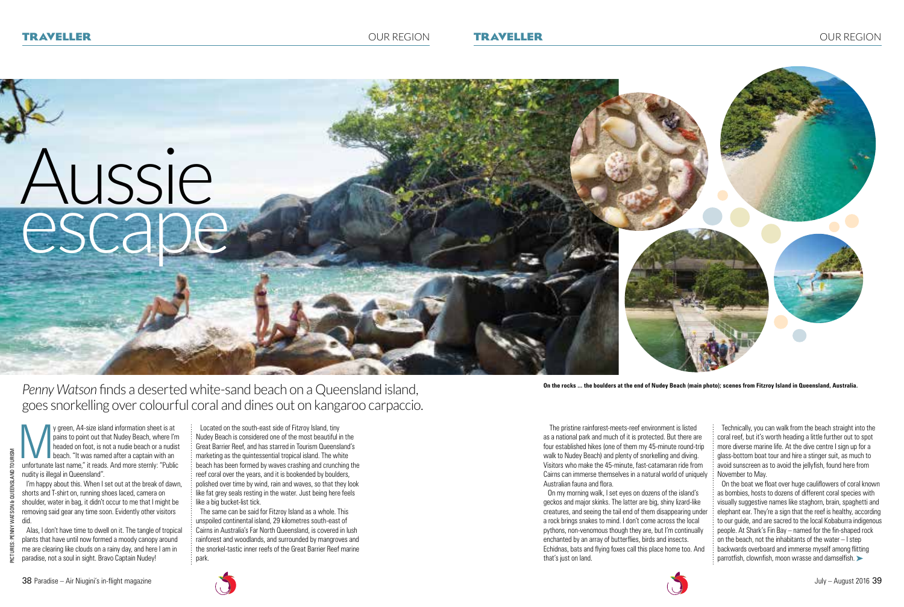The pristine rainforest-meets-reef environment is listed as a national park and much of it is protected. But there are four established hikes (one of them my 45-minute round-trip walk to Nudey Beach) and plenty of snorkelling and diving. Visitors who make the 45-minute, fast-catamaran ride from Cairns can immerse themselves in a natural world of uniquely

Technically, you can walk from the beach straight into the coral reef, but it's worth heading a little further out to spot more diverse marine life. At the dive centre I sign up for a glass-bottom boat tour and hire a stinger suit, as much to avoid sunscreen as to avoid the jellyfish, found here from November to May.

y green, A4-size island information sheet is at<br>pains to point out that Nudey Beach, where I'r<br>headed on foot, is not a nudie beach or a nudis<br>beach. "It was named after a captain with an<br>unfortunate last name." it reads. pains to point out that Nudey Beach, where I'm headed on foot, is not a nudie beach or a nudist beach. "It was named after a captain with an unfortunate last name," it reads. And more sternly: "Public nudity is illegal in Queensland".

Australian fauna and flora. On my morning walk, I set eyes on dozens of the island's geckos and major skinks. The latter are big, shiny lizard-like creatures, and seeing the tail end of them disappearing under a rock brings snakes to mind. I don't come across the local pythons, non-venomous though they are, but I'm continually enchanted by an array of butterflies, birds and insects. Echidnas, bats and flying foxes call this place home too. And that's just on land. On the boat we float over huge cauliflowers of coral known as bombies, hosts to dozens of different coral species with visually suggestive names like staghorn, brain, spaghetti and elephant ear. They're a sign that the reef is healthy, according to our guide, and are sacred to the local Kobaburra indigenous people. At Shark's Fin Bay – named for the fin-shaped rock on the beach, not the inhabitants of the water – I step backwards overboard and immerse myself among flitting parrotfish, clownfish, moon wrasse and damselfish.



**On the rocks ... the boulders at the end of Nudey Beach (main photo); scenes from Fitzroy Island in Queensland, Australia.**

I'm happy about this. When I set out at the break of dawn, shorts and T-shirt on, running shoes laced, camera on shoulder, water in bag, it didn't occur to me that I might be removing said gear any time soon. Evidently other visitors did.

Alas, I don't have time to dwell on it. The tangle of tropical plants that have until now formed a moody canopy around me are clearing like clouds on a rainy day, and here I am in paradise, not a soul in sight. Bravo Captain Nudey!

38 Paradise – Air Niugini's in-flight magazine July – August 2016 39

Located on the south-east side of Fitzroy Island, tiny

Nudey Beach is considered one of the most beautiful in the Great Barrier Reef, and has starred in Tourism Queensland's marketing as the quintessential tropical island. The white beach has been formed by waves crashing and crunching the reef coral over the years, and it is bookended by boulders, polished over time by wind, rain and waves, so that they look like fat grey seals resting in the water. Just being here feels like a big bucket-list tick.

The same can be said for Fitzroy Island as a whole. This unspoiled continental island, 29 kilometres south-east of Cairns in Australia's Far North Queensland, is covered in lush rainforest and woodlands, and surrounded by mangroves and the snorkel-tastic inner reefs of the Great Barrier Reef marine park.





*Penny Watson* finds a deserted white-sand beach on a Queensland island, goes snorkelling over colourful coral and dines out on kangaroo carpaccio.

PICTURES: PENNY WATSON & QUEENSLAND TOURISM

jour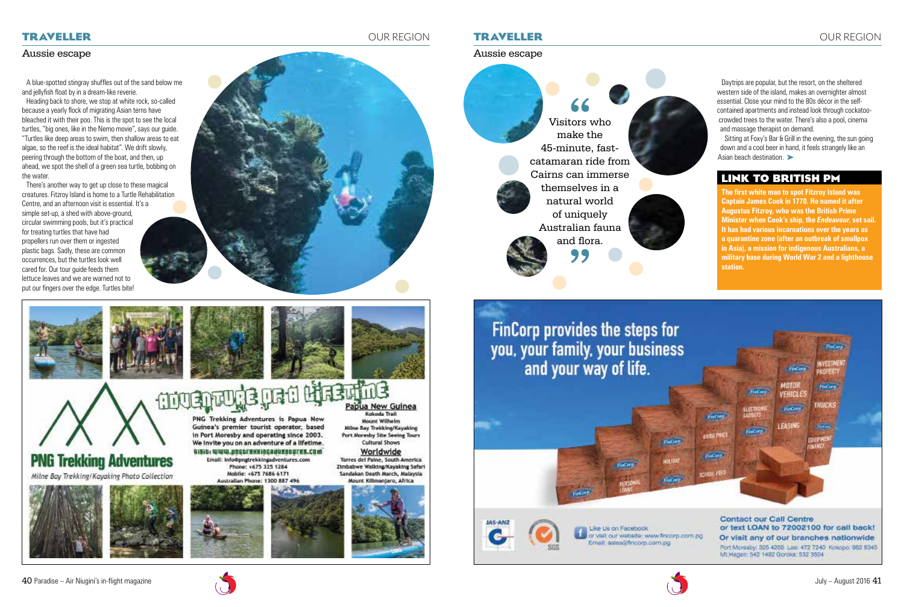Aussie escape

**The first white man to spot Fitzroy Island was Captain James Cook in 1770. He named it after Augustus Fitzroy, who was the British Prime Minister when Cook's ship, the** *Endeavour***, set sail. It has had various incarnations over the years as a quarantine zone (after an outbreak of smallpox in Asia), a mission for indigenous Australians, a military base during World War 2 and a lighthouse station.** 

Sitting at Foxy's Bar & Grill in the evening, the sun going down and a cool beer in hand, it feels strangely like an Asian beach destination.

Visitors who make the 45-minute, fastcatamaran ride from Cairns can immerse themselves in a natural world of uniquely Australian fauna and flora.







Daytrips are popular, but the resort, on the sheltered western side of the island, makes an overnighter almost essential. Close your mind to the 80s décor in the selfcontained apartments and instead look through cockatoocrowded trees to the water. There's also a pool, cinema and massage therapist on demand.

## **Link to British PM**

### **traveller** OUR REGION

#### Aussie escape

A blue-spotted stingray shuffles out of the sand below me and jellyfish float by in a dream-like reverie.

Heading back to shore, we stop at white rock, so-called because a yearly flock of migrating Asian terns have bleached it with their poo. This is the spot to see the local turtles, "big ones, like in the Nemo movie", says our guide. "Turtles like deep areas to swim, then shallow areas to eat algae, so the reef is the ideal habitat". We drift slowly, peering through the bottom of the boat, and then, up ahead, we spot the shell of a green sea turtle, bobbing on the water.

There's another way to get up close to these magical creatures. Fitzroy Island is home to a Turtle Rehabilitation Centre, and an afternoon visit is essential. It's a simple set-up, a shed with above-ground, circular swimming pools, but it's practical for treating turtles that have had propellers run over them or ingested plastic bags. Sadly, these are common occurrences, but the turtles look well cared for. Our tour guide feeds them lettuce leaves and we are warned not to put our fingers over the edge. Turtles bite!







### **traveller** OUR REGION